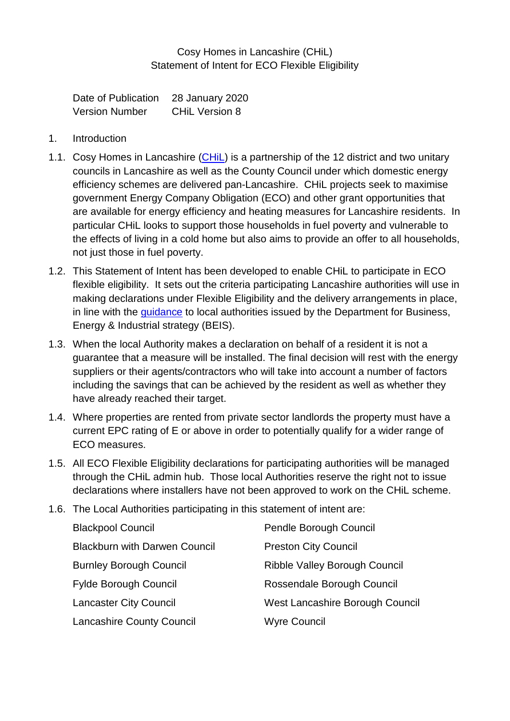## Cosy Homes in Lancashire (CHiL) Statement of Intent for ECO Flexible Eligibility

Date of Publication 28 January 2020 Version Number CHiL Version 8

- 1. Introduction
- 1.1. Cosy Homes in Lancashire [\(CHiL\)](http://www.chil.uk.com/) is a partnership of the 12 district and two unitary councils in Lancashire as well as the County Council under which domestic energy efficiency schemes are delivered pan-Lancashire. CHiL projects seek to maximise government Energy Company Obligation (ECO) and other grant opportunities that are available for energy efficiency and heating measures for Lancashire residents. In particular CHiL looks to support those households in fuel poverty and vulnerable to the effects of living in a cold home but also aims to provide an offer to all households, not just those in fuel poverty.
- 1.2. This Statement of Intent has been developed to enable CHiL to participate in ECO flexible eligibility. It sets out the criteria participating Lancashire authorities will use in making declarations under Flexible Eligibility and the delivery arrangements in place, in line with the [guidance](https://www.gov.uk/government/publications/energy-company-obligation-eco-help-to-heat-scheme-flexible-eligibility) to local authorities issued by the Department for Business, Energy & Industrial strategy (BEIS).
- 1.3. When the local Authority makes a declaration on behalf of a resident it is not a guarantee that a measure will be installed. The final decision will rest with the energy suppliers or their agents/contractors who will take into account a number of factors including the savings that can be achieved by the resident as well as whether they have already reached their target.
- 1.4. Where properties are rented from private sector landlords the property must have a current EPC rating of E or above in order to potentially qualify for a wider range of ECO measures.
- 1.5. All ECO Flexible Eligibility declarations for participating authorities will be managed through the CHiL admin hub. Those local Authorities reserve the right not to issue declarations where installers have not been approved to work on the CHiL scheme.
- 1.6. The Local Authorities participating in this statement of intent are:

| <b>Blackpool Council</b>             | Pendle Borough Council               |
|--------------------------------------|--------------------------------------|
| <b>Blackburn with Darwen Council</b> | <b>Preston City Council</b>          |
| <b>Burnley Borough Council</b>       | <b>Ribble Valley Borough Council</b> |
| <b>Fylde Borough Council</b>         | Rossendale Borough Council           |
| <b>Lancaster City Council</b>        | West Lancashire Borough Council      |
| <b>Lancashire County Council</b>     | <b>Wyre Council</b>                  |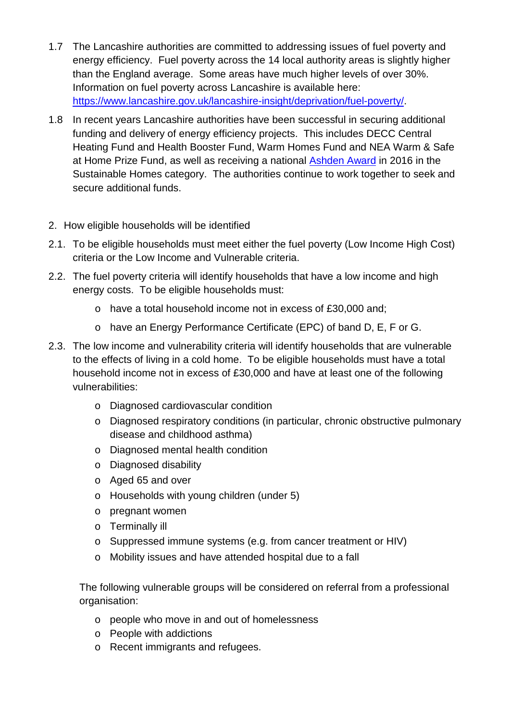- 1.7 The Lancashire authorities are committed to addressing issues of fuel poverty and energy efficiency. Fuel poverty across the 14 local authority areas is slightly higher than the England average. Some areas have much higher levels of over 30%. Information on fuel poverty across Lancashire is available here: [https://www.lancashire.gov.uk/lancashire-insight/deprivation/fuel-poverty/.](https://www.lancashire.gov.uk/lancashire-insight/deprivation/fuel-poverty/)
- 1.8 In recent years Lancashire authorities have been successful in securing additional funding and delivery of energy efficiency projects. This includes DECC Central Heating Fund and Health Booster Fund, Warm Homes Fund and NEA Warm & Safe at Home Prize Fund, as well as receiving a national [Ashden Award](https://www.ashden.org/winners/cosy-homes-in-lancashire-1) in 2016 in the Sustainable Homes category. The authorities continue to work together to seek and secure additional funds.
- 2. How eligible households will be identified
- 2.1. To be eligible households must meet either the fuel poverty (Low Income High Cost) criteria or the Low Income and Vulnerable criteria.
- 2.2. The fuel poverty criteria will identify households that have a low income and high energy costs. To be eligible households must:
	- o have a total household income not in excess of £30,000 and;
	- o have an Energy Performance Certificate (EPC) of band D, E, F or G.
- 2.3. The low income and vulnerability criteria will identify households that are vulnerable to the effects of living in a cold home. To be eligible households must have a total household income not in excess of £30,000 and have at least one of the following vulnerabilities:
	- o Diagnosed cardiovascular condition
	- o Diagnosed respiratory conditions (in particular, chronic obstructive pulmonary disease and childhood asthma)
	- o Diagnosed mental health condition
	- o Diagnosed disability
	- o Aged 65 and over
	- o Households with young children (under 5)
	- o pregnant women
	- o Terminally ill
	- o Suppressed immune systems (e.g. from cancer treatment or HIV)
	- o Mobility issues and have attended hospital due to a fall

The following vulnerable groups will be considered on referral from a professional organisation:

- o people who move in and out of homelessness
- o People with addictions
- o Recent immigrants and refugees.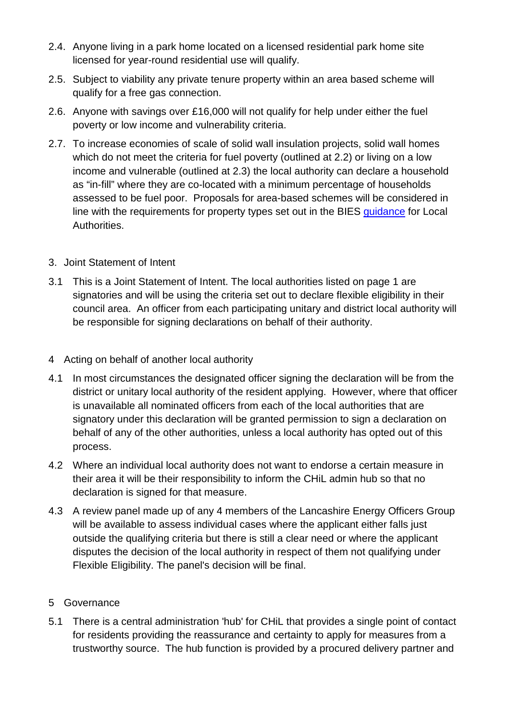- 2.4. Anyone living in a park home located on a licensed residential park home site licensed for year-round residential use will qualify.
- 2.5. Subject to viability any private tenure property within an area based scheme will qualify for a free gas connection.
- 2.6. Anyone with savings over £16,000 will not qualify for help under either the fuel poverty or low income and vulnerability criteria.
- 2.7. To increase economies of scale of solid wall insulation projects, solid wall homes which do not meet the criteria for fuel poverty (outlined at 2.2) or living on a low income and vulnerable (outlined at 2.3) the local authority can declare a household as "in-fill" where they are co-located with a minimum percentage of households assessed to be fuel poor. Proposals for area-based schemes will be considered in line with the requirements for property types set out in the BIES quidance for Local Authorities.
- 3. Joint Statement of Intent
- 3.1 This is a Joint Statement of Intent. The local authorities listed on page 1 are signatories and will be using the criteria set out to declare flexible eligibility in their council area. An officer from each participating unitary and district local authority will be responsible for signing declarations on behalf of their authority.
- 4 Acting on behalf of another local authority
- 4.1 In most circumstances the designated officer signing the declaration will be from the district or unitary local authority of the resident applying. However, where that officer is unavailable all nominated officers from each of the local authorities that are signatory under this declaration will be granted permission to sign a declaration on behalf of any of the other authorities, unless a local authority has opted out of this process.
- 4.2 Where an individual local authority does not want to endorse a certain measure in their area it will be their responsibility to inform the CHiL admin hub so that no declaration is signed for that measure.
- 4.3 A review panel made up of any 4 members of the Lancashire Energy Officers Group will be available to assess individual cases where the applicant either falls just outside the qualifying criteria but there is still a clear need or where the applicant disputes the decision of the local authority in respect of them not qualifying under Flexible Eligibility. The panel's decision will be final.
- 5 Governance
- 5.1 There is a central administration 'hub' for CHiL that provides a single point of contact for residents providing the reassurance and certainty to apply for measures from a trustworthy source. The hub function is provided by a procured delivery partner and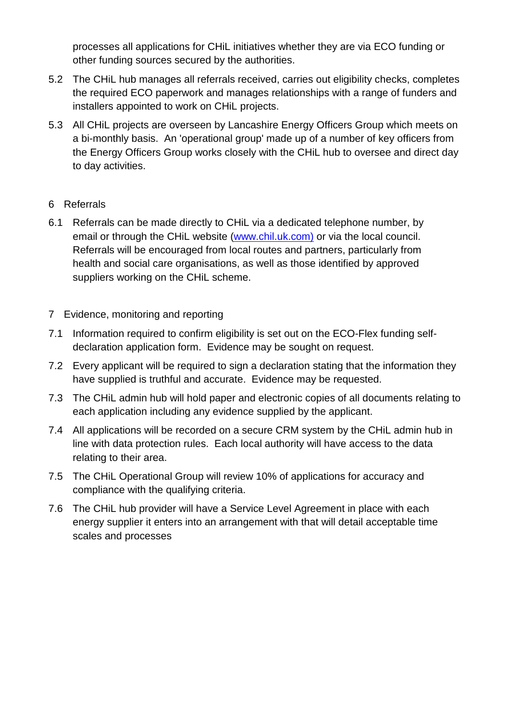processes all applications for CHiL initiatives whether they are via ECO funding or other funding sources secured by the authorities.

- 5.2 The CHiL hub manages all referrals received, carries out eligibility checks, completes the required ECO paperwork and manages relationships with a range of funders and installers appointed to work on CHiL projects.
- 5.3 All CHiL projects are overseen by Lancashire Energy Officers Group which meets on a bi-monthly basis. An 'operational group' made up of a number of key officers from the Energy Officers Group works closely with the CHiL hub to oversee and direct day to day activities.
- 6 Referrals
- 6.1 Referrals can be made directly to CHiL via a dedicated telephone number, by email or through the CHiL website [\(www.chil.uk.com\)](http://www.chil.uk.com/) or via the local council. Referrals will be encouraged from local routes and partners, particularly from health and social care organisations, as well as those identified by approved suppliers working on the CHiL scheme.
- 7 Evidence, monitoring and reporting
- 7.1 Information required to confirm eligibility is set out on the ECO-Flex funding selfdeclaration application form. Evidence may be sought on request.
- 7.2 Every applicant will be required to sign a declaration stating that the information they have supplied is truthful and accurate. Evidence may be requested.
- 7.3 The CHiL admin hub will hold paper and electronic copies of all documents relating to each application including any evidence supplied by the applicant.
- 7.4 All applications will be recorded on a secure CRM system by the CHiL admin hub in line with data protection rules. Each local authority will have access to the data relating to their area.
- 7.5 The CHiL Operational Group will review 10% of applications for accuracy and compliance with the qualifying criteria.
- 7.6 The CHiL hub provider will have a Service Level Agreement in place with each energy supplier it enters into an arrangement with that will detail acceptable time scales and processes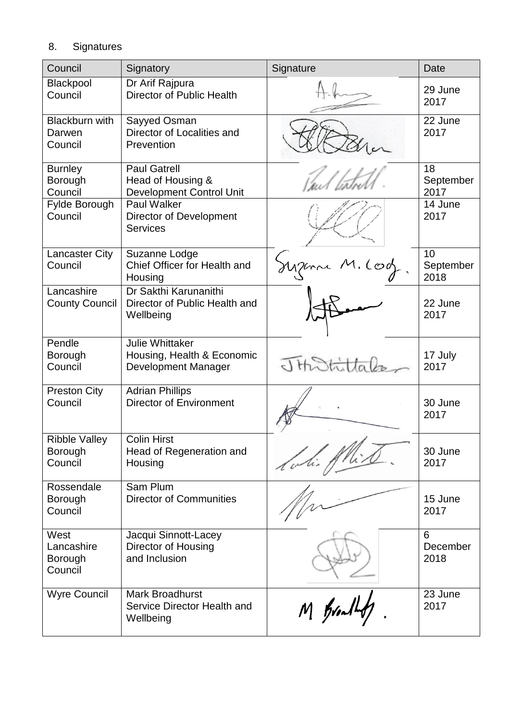## 8. Signatures

| Council                                    | Signatory                                                                   | Signature     |                         |
|--------------------------------------------|-----------------------------------------------------------------------------|---------------|-------------------------|
| Blackpool<br>Council                       | Dr Arif Rajpura<br><b>Director of Public Health</b>                         |               | 29 June<br>2017         |
| <b>Blackburn with</b><br>Darwen<br>Council | Sayyed Osman<br>Director of Localities and<br>Prevention                    |               | 22 June<br>2017         |
| <b>Burnley</b><br>Borough<br>Council       | <b>Paul Gatrell</b><br>Head of Housing &<br><b>Development Control Unit</b> |               | 18<br>September<br>2017 |
| Fylde Borough<br>Council                   | <b>Paul Walker</b><br><b>Director of Development</b><br><b>Services</b>     |               | 14 June<br>2017         |
| <b>Lancaster City</b><br>Council           | Suzanne Lodge<br>Chief Officer for Health and<br>Housing                    | Supera M. Cod | 10<br>September<br>2018 |
| Lancashire<br><b>County Council</b>        | Dr Sakthi Karunanithi<br>Director of Public Health and<br>Wellbeing         |               | 22 June<br>2017         |
| Pendle<br>Borough<br>Council               | <b>Julie Whittaker</b><br>Housing, Health & Economic<br>Development Manager |               | 17 July<br>2017         |
| <b>Preston City</b><br>Council             | <b>Adrian Phillips</b><br><b>Director of Environment</b>                    |               | 30 June<br>2017         |
| <b>Ribble Vallev</b><br>Borough<br>Council | <b>Colin Hirst</b><br>Head of Regeneration and<br>Housing                   | Allin         | 30 June<br>2017         |
| Rossendale<br>Borough<br>Council           | Sam Plum<br><b>Director of Communities</b>                                  |               | 15 June<br>2017         |
| West<br>Lancashire<br>Borough<br>Council   | Jacqui Sinnott-Lacey<br>Director of Housing<br>and Inclusion                |               | 6<br>December<br>2018   |
| <b>Wyre Council</b>                        | <b>Mark Broadhurst</b><br>Service Director Health and<br>Wellbeing          | M Bralls,     | 23 June<br>2017         |